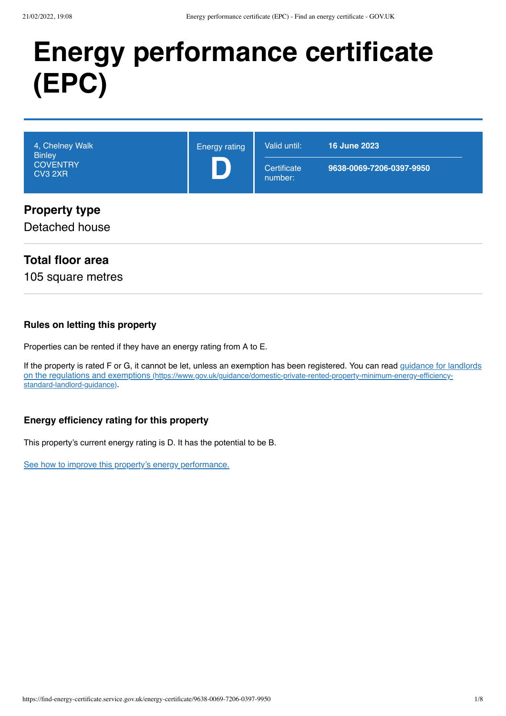# **Energy performance certificate (EPC)**

| 4, Chelney Walk<br><b>Binley</b><br><b>COVENTRY</b><br>CV3 2XR | <b>Energy rating</b> | Valid until:<br>Certificate<br>number: | <b>16 June 2023</b><br>9638-0069-7206-0397-9950 |
|----------------------------------------------------------------|----------------------|----------------------------------------|-------------------------------------------------|
| <b>Property type</b><br>Detached house                         |                      |                                        |                                                 |

# **Total floor area**

105 square metres

#### **Rules on letting this property**

Properties can be rented if they have an energy rating from A to E.

[If the property is rated F or G, it cannot be let, unless an exemption has been registered. You can read guidance for landlords](https://www.gov.uk/guidance/domestic-private-rented-property-minimum-energy-efficiency-standard-landlord-guidance) on the regulations and exemptions (https://www.gov.uk/guidance/domestic-private-rented-property-minimum-energy-efficiencystandard-landlord-guidance).

#### **Energy efficiency rating for this property**

This property's current energy rating is D. It has the potential to be B.

[See how to improve this property's energy performance.](#page-3-0)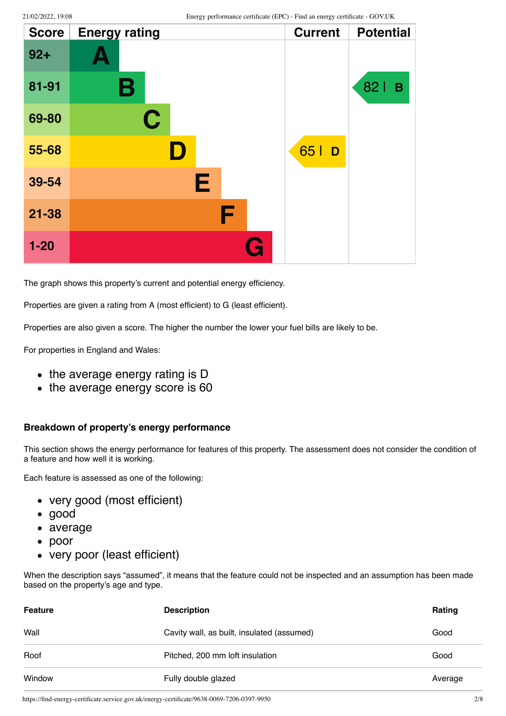| <b>Score</b> | <b>Energy rating</b> | <b>Current</b> | <b>Potential</b> |
|--------------|----------------------|----------------|------------------|
| $92 +$       | А                    |                |                  |
| 81-91        | Β                    |                | 821<br>B         |
| 69-80        | $\mathbf C$          |                |                  |
| 55-68        | D                    | 65   D         |                  |
| 39-54        | Е                    |                |                  |
| $21 - 38$    | F                    |                |                  |
| $1 - 20$     |                      | G              |                  |

The graph shows this property's current and potential energy efficiency.

Properties are given a rating from A (most efficient) to G (least efficient).

Properties are also given a score. The higher the number the lower your fuel bills are likely to be.

For properties in England and Wales:

- the average energy rating is D
- the average energy score is 60

#### **Breakdown of property's energy performance**

This section shows the energy performance for features of this property. The assessment does not consider the condition of a feature and how well it is working.

Each feature is assessed as one of the following:

- very good (most efficient)
- good
- average
- poor
- very poor (least efficient)

When the description says "assumed", it means that the feature could not be inspected and an assumption has been made based on the property's age and type.

| <b>Feature</b> | <b>Description</b>                         | Rating  |
|----------------|--------------------------------------------|---------|
| Wall           | Cavity wall, as built, insulated (assumed) | Good    |
| Roof           | Pitched, 200 mm loft insulation            | Good    |
| Window         | Fully double glazed                        | Average |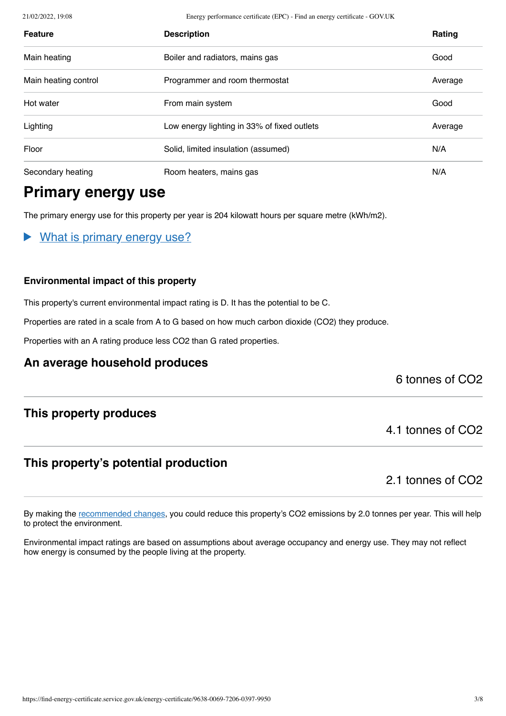21/02/2022, 19:08 Energy performance certificate (EPC) - Find an energy certificate - GOV.UK

| <b>Feature</b>       | <b>Description</b>                          | <b>Rating</b> |
|----------------------|---------------------------------------------|---------------|
| Main heating         | Boiler and radiators, mains gas             | Good          |
| Main heating control | Programmer and room thermostat              | Average       |
| Hot water            | From main system                            | Good          |
| Lighting             | Low energy lighting in 33% of fixed outlets | Average       |
| Floor                | Solid, limited insulation (assumed)         | N/A           |
| Secondary heating    | Room heaters, mains gas                     | N/A           |

# **Primary energy use**

The primary energy use for this property per year is 204 kilowatt hours per square metre (kWh/m2).

What is primary energy use?

#### **Environmental impact of this property**

This property's current environmental impact rating is D. It has the potential to be C.

Properties are rated in a scale from A to G based on how much carbon dioxide (CO2) they produce.

Properties with an A rating produce less CO2 than G rated properties.

## **An average household produces**

6 tonnes of CO2

## **This property produces**

# **This property's potential production**

2.1 tonnes of CO2

4.1 tonnes of CO2

By making the [recommended changes](#page-3-0), you could reduce this property's CO2 emissions by 2.0 tonnes per year. This will help to protect the environment.

Environmental impact ratings are based on assumptions about average occupancy and energy use. They may not reflect how energy is consumed by the people living at the property.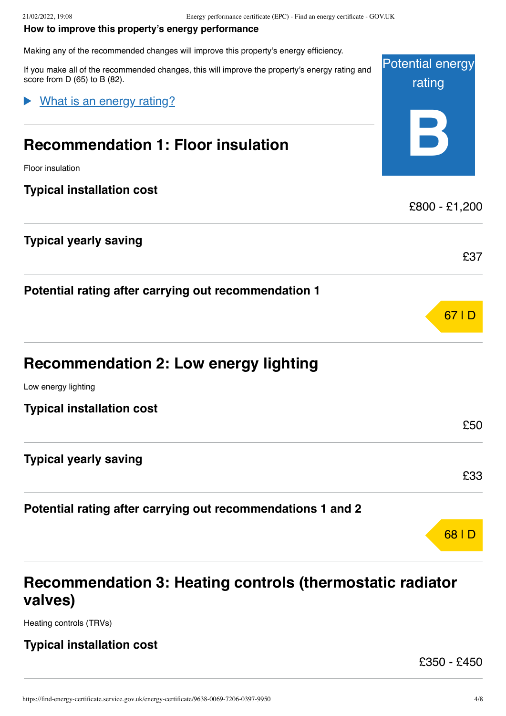#### <span id="page-3-0"></span>**How to improve this property's energy performance**

Making any of the recommended changes will improve this property's energy efficiency.

Potential energy rating **B** If you make all of the recommended changes, this will improve the property's energy rating and score from D (65) to B (82). **Recommendation 1: Floor insulation** Floor insulation **Typical installation cost** £800 - £1,200 **Typical yearly saving** £37 **Potential rating after carrying out recommendation 1** 67 | D **Recommendation 2: Low energy lighting** Low energy lighting **Typical installation cost** £50 **Typical yearly saving** £33 **Potential rating after carrying out recommendations 1 and 2** 68 | D What is an energy rating?

# **Recommendation 3: Heating controls (thermostatic radiator valves)**

Heating controls (TRVs)

#### **Typical installation cost**

£350 - £450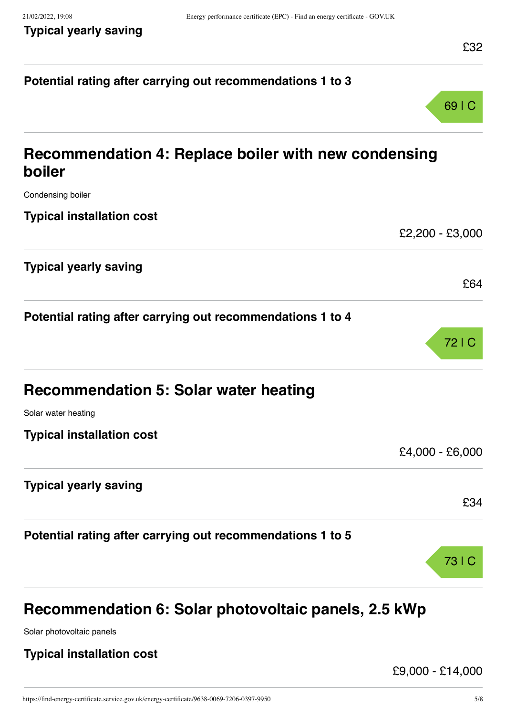# **Potential rating after carrying out recommendations 1 to 3** 69 | C **Recommendation 4: Replace boiler with new condensing boiler** Condensing boiler **Typical installation cost** £2,200 - £3,000 **Typical yearly saving** £64 **Potential rating after carrying out recommendations 1 to 4** 72 | C **Recommendation 5: Solar water heating** Solar water heating **Typical installation cost** £4,000 - £6,000 **Typical yearly saving** £34 **Potential rating after carrying out recommendations 1 to 5** 73 | C

# **Recommendation 6: Solar photovoltaic panels, 2.5 kWp**

Solar photovoltaic panels

## **Typical installation cost**

£9,000 - £14,000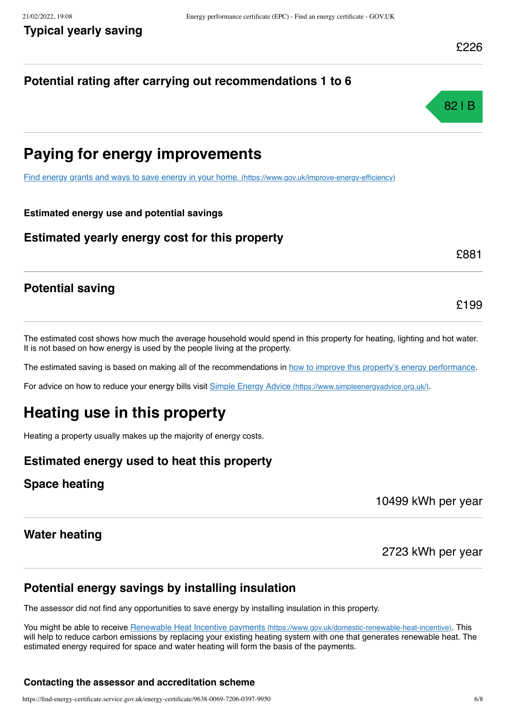# **Potential rating after carrying out recommendations 1 to 6**



# **Paying for energy improvements**

[Find energy grants and ways to save energy in your home.](https://www.gov.uk/improve-energy-efficiency) (https://www.gov.uk/improve-energy-efficiency)

#### **Estimated energy use and potential savings**

#### **Estimated yearly energy cost for this property**

£881

£199

## **Potential saving**

The estimated cost shows how much the average household would spend in this property for heating, lighting and hot water. It is not based on how energy is used by the people living at the property.

The estimated saving is based on making all of the recommendations in [how to improve this property's energy performance.](#page-3-0)

For advice on how to reduce your energy bills visit Simple Energy Advice [\(https://www.simpleenergyadvice.org.uk/\)](https://www.simpleenergyadvice.org.uk/).

# **Heating use in this property**

Heating a property usually makes up the majority of energy costs.

## **Estimated energy used to heat this property**

## **Space heating**

10499 kWh per year

#### **Water heating**

2723 kWh per year

## **Potential energy savings by installing insulation**

The assessor did not find any opportunities to save energy by installing insulation in this property.

You might be able to receive Renewable Heat Incentive payments [\(https://www.gov.uk/domestic-renewable-heat-incentive\)](https://www.gov.uk/domestic-renewable-heat-incentive). This will help to reduce carbon emissions by replacing your existing heating system with one that generates renewable heat. The estimated energy required for space and water heating will form the basis of the payments.

#### **Contacting the assessor and accreditation scheme**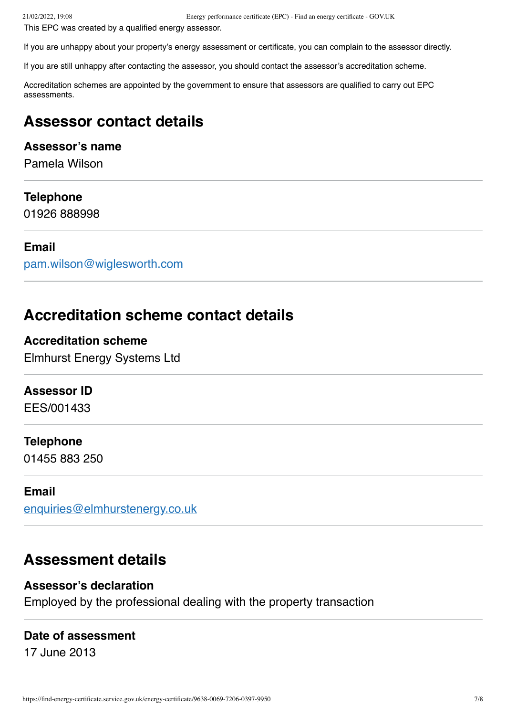This EPC was created by a qualified energy assessor.

If you are unhappy about your property's energy assessment or certificate, you can complain to the assessor directly.

If you are still unhappy after contacting the assessor, you should contact the assessor's accreditation scheme.

Accreditation schemes are appointed by the government to ensure that assessors are qualified to carry out EPC assessments.

# **Assessor contact details**

#### **Assessor's name**

Pamela Wilson

#### **Telephone**

01926 888998

#### **Email**

[pam.wilson@wiglesworth.com](mailto:pam.wilson@wiglesworth.com)

# **Accreditation scheme contact details**

## **Accreditation scheme**

Elmhurst Energy Systems Ltd

## **Assessor ID**

EES/001433

## **Telephone**

01455 883 250

#### **Email**

[enquiries@elmhurstenergy.co.uk](mailto:enquiries@elmhurstenergy.co.uk)

# **Assessment details**

#### **Assessor's declaration**

Employed by the professional dealing with the property transaction

#### **Date of assessment**

17 June 2013